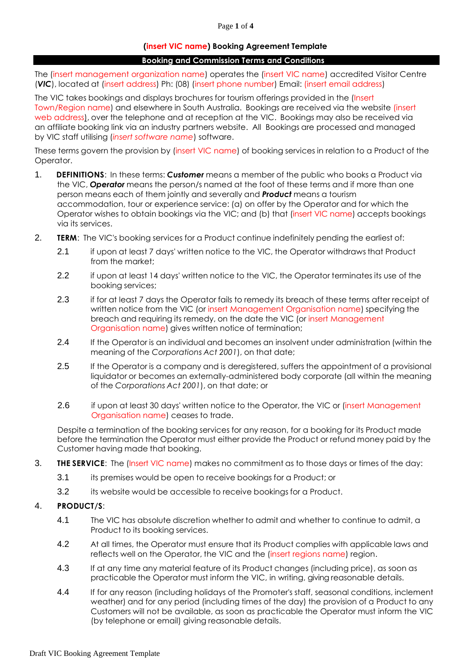### Page **1** of **4**

# **(insert VIC name) Booking Agreement Template**

### **Booking and Commission Terms and Conditions**

The (insert management organization name) operates the (insert VIC name) accredited Visitor Centre (*VIC*), located at (insert address) Ph: (08) (insert phone number) Email: [\(insert](mailto:Email:visitorcentre@barossa.sa.gov.au) email address)

The VIC takes bookings and displays brochures for tourism offerings provided in the (Insert Town/Region name) and elsewhere in South Australia. Bookings are received via the website [\(insert](http://www.barossa.com/)  [web address\),](http://www.barossa.com/) over the telephone and at reception at the VIC. Bookings may also be received via an affiliate booking link via an industry partners website. All Bookings are processed and managed by VIC staff utilising (*insert software name*) software.

These terms govern the provision by (insert VIC name) of booking services in relation to a Product of the Operator.

- 1. **DEFINITIONS**: In these terms: *Customer* means a member of the public who books a Product via the VIC, *Operator* means the person/s named at the foot of these terms and if more than one person means each of them jointly and severally and *Product* means a tourism accommodation, tour or experience service: (a) on offer by the Operator and for which the Operator wishes to obtain bookings via the VIC; and (b) that (insert VIC name) accepts bookings via its services.
- 2. **TERM**: The VIC's booking services for a Product continue indefinitely pending the earliest of:
	- 2.1 if upon at least 7 days' written notice to the VIC, the Operator withdraws that Product from the market;
	- 2.2 if upon at least 14 days' written notice to the VIC, the Operator terminates its use of the booking services;
	- 2.3 if for at least 7 days the Operator fails to remedy its breach of these terms after receipt of written notice from the VIC (or insert Management Organisation name) specifying the breach and requiring its remedy, on the date the VIC (or insert Management Organisation name) gives written notice of termination;
	- 2.4 If the Operator is an individual and becomes an insolvent under administration (within the meaning of the *Corporations Act 2001*), on that date;
	- 2.5 If the Operator is a company and is deregistered, suffers the appointment of a provisional liquidator or becomes an externally-administered body corporate (all within the meaning of the *Corporations Act 2001*), on that date; or
	- 2.6 if upon at least 30 days' written notice to the Operator, the VIC or (insert Management Organisation name) ceases to trade.

Despite a termination of the booking services for any reason, for a booking for its Product made before the termination the Operator must either provide the Product or refund money paid by the Customer having made that booking.

- 3. **THE SERVICE**: The (Insert VIC name) makes no commitment as to those days or times of the day:
	- 3.1 its premises would be open to receive bookings for a Product; or
	- 3.2 its website would be accessible to receive bookings for a Product.

# 4. **PRODUCT/S**:

- 4.1 The VIC has absolute discretion whether to admit and whether to continue to admit, a Product to its booking services.
- 4.2 At all times, the Operator must ensure that its Product complies with applicable laws and reflects well on the Operator, the VIC and the (insert regions name) region.
- 4.3 If at any time any material feature of its Product changes (including price), as soon as practicable the Operator must inform the VIC, in writing, giving reasonable details.
- 4.4 If for any reason (including holidays of the Promoter's staff, seasonal conditions, inclement weather) and for any period (including times of the day) the provision of a Product to any Customers will not be available, as soon as practicable the Operator must inform the VIC (by telephone or email) giving reasonable details.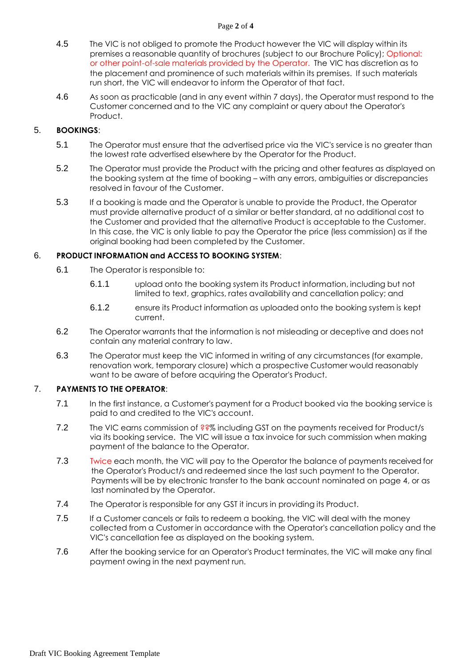### Page **2** of **4**

- 4.5 The VIC is not obliged to promote the Product however the VIC will display within its premises a reasonable quantity of brochures (subject to our Brochure Policy); Optional: or other point-of-sale materials provided by the Operator. The VIC has discretion as to the placement and prominence of such materials within its premises. If such materials run short, the VIC will endeavor to inform the Operator of that fact.
- 4.6 As soon as practicable (and in any event within 7 days), the Operator must respond to the Customer concerned and to the VIC any complaint or query about the Operator's Product.

# 5. **BOOKINGS**:

- 5.1 The Operator must ensure that the advertised price via the VIC's service is no greater than the lowest rate advertised elsewhere by the Operator for the Product.
- 5.2 The Operator must provide the Product with the pricing and other features as displayed on the booking system at the time of booking – with any errors, ambiguities or discrepancies resolved in favour of the Customer.
- 5.3 If a booking is made and the Operator is unable to provide the Product, the Operator must provide alternative product of a similar or better standard, at no additional cost to the Customer and provided that the alternative Product is acceptable to the Customer. In this case, the VIC is only liable to pay the Operator the price (less commission) as if the original booking had been completed by the Customer.

# 6. **PRODUCT INFORMATION and ACCESS TO BOOKING SYSTEM**:

- 6.1 The Operator is responsible to:
	- 6.1.1 upload onto the booking system its Product information, including but not limited to text, graphics, rates availability and cancellation policy; and
	- 6.1.2 ensure its Product information as uploaded onto the booking system is kept current.
- 6.2 The Operator warrants that the information is not misleading or deceptive and does not contain any material contrary to law.
- 6.3 The Operator must keep the VIC informed in writing of any circumstances (for example, renovation work, temporary closure) which a prospective Customer would reasonably want to be aware of before acquiring the Operator's Product.

# 7. **PAYMENTS TO THE OPERATOR**:

- 7.1 In the first instance, a Customer's payment for a Product booked via the booking service is paid to and credited to the VIC's account.
- 7.2 The VIC earns commission of ??% including GST on the payments received for Product/s via its booking service. The VIC will issue a tax invoice for such commission when making payment of the balance to the Operator.
- 7.3 Twice each month, the VIC will pay to the Operator the balance of payments received for the Operator's Product/s and redeemed since the last such payment to the Operator. Payments will be by electronic transfer to the bank account nominated on page 4, or as last nominated by the Operator.
- 7.4 The Operator is responsible for any GST it incurs in providing its Product.
- 7.5 If a Customer cancels or fails to redeem a booking, the VIC will deal with the money collected from a Customer in accordance with the Operator's cancellation policy and the VIC's cancellation fee as displayed on the booking system.
- 7.6 After the booking service for an Operator's Product terminates, the VIC will make any final payment owing in the next payment run.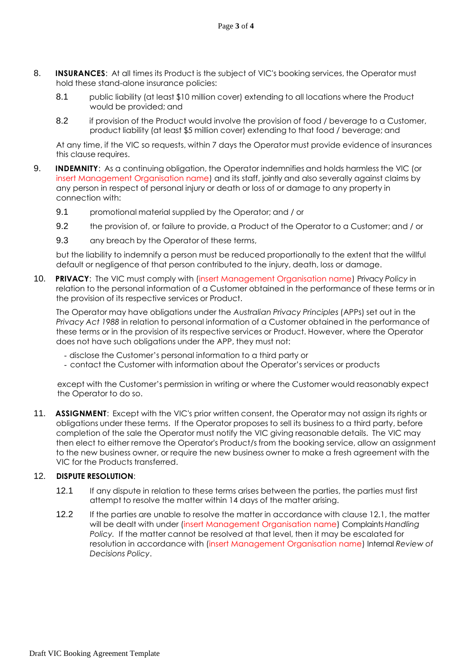- 8. **INSURANCES:** At all times its Product is the subject of VIC's booking services, the Operator must hold these stand-alone insurance policies:
	- 8.1 public liability (at least \$10 million cover) extending to all locations where the Product would be provided; and
	- 8.2 if provision of the Product would involve the provision of food / beverage to a Customer, product liability (at least \$5 million cover) extending to that food / beverage; and

At any time, if the VIC so requests, within 7 days the Operator must provide evidence of insurances this clause requires.

- 9. **INDEMNITY**: As a continuing obligation, the Operator indemnifies and holds harmless the VIC (or insert Management Organisation name) and its staff, jointly and also severally against claims by any person in respect of personal injury or death or loss of or damage to any property in connection with:
	- 9.1 promotional material supplied by the Operator; and / or
	- 9.2 the provision of, or failure to provide, a Product of the Operator to a Customer; and / or
	- 9.3 any breach by the Operator of these terms,

but the liability to indemnify a person must be reduced proportionally to the extent that the willful default or negligence of that person contributed to the injury, death, loss or damage.

10. **PRIVACY**: The VIC must comply with (insert Management Organisation name) Privacy *Policy* in relation to the personal information of a Customer obtained in the performance of these terms or in the provision of its respective services or Product.

The Operator may have obligations under the *Australian Privacy Principles* (APPs) set out in the *Privacy Act 1988* in relation to personal information of a Customer obtained in the performance of these terms or in the provision of its respective services or Product. However, where the Operator does not have such obligations under the APP, they must not:

- disclose the Customer's personal information to a third party or
- contact the Customer with information about the Operator's services or products

except with the Customer's permission in writing or where the Customer would reasonably expect the Operator to do so.

11. **ASSIGNMENT**: Except with the VIC's prior written consent, the Operator may not assign its rights or obligations under these terms. If the Operator proposes to sell its business to a third party, before completion of the sale the Operator must notify the VIC giving reasonable details. The VIC may then elect to either remove the Operator's Product/s from the booking service, allow an assignment to the new business owner, or require the new business owner to make a fresh agreement with the VIC for the Products transferred.

# 12. **DISPUTE RESOLUTION**:

- 12.1 If any dispute in relation to these terms arises between the parties, the parties must first attempt to resolve the matter within 14 days of the matter arising.
- 12.2 If the parties are unable to resolve the matter in accordance with clause 12.1, the matter will be dealt with under (insert Management Organisation name) Complaints *Handling Policy.* If the matter cannot be resolved at that level, then it may be escalated for resolution in accordance with (insert Management Organisation name) Internal *Review of Decisions Policy*.